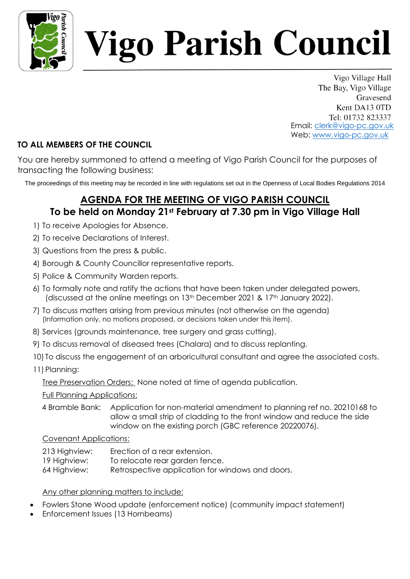

# igo Parish Council

Vigo Village Hall The Bay, Vigo Village Gravesend Kent DA13 0TD Tel: 01732 823337 Email: [clerk@vigo-pc.gov.uk](mailto:clerk@vigo-pc.gov.uk) Web: [www.vigo-pc.gov.uk](http://www.vigo-pc.gov.uk/)

### **TO ALL MEMBERS OF THE COUNCIL**

You are hereby summoned to attend a meeting of Vigo Parish Council for the purposes of transacting the following business:

The proceedings of this meeting may be recorded in line with regulations set out in the Openness of Local Bodies Regulations 2014

## **AGENDA FOR THE MEETING OF VIGO PARISH COUNCIL To be held on Monday 21st February at 7.30 pm in Vigo Village Hall**

- 1) To receive Apologies for Absence.
- 2) To receive Declarations of Interest.
- 3) Questions from the press & public.
- 4) Borough & County Councillor representative reports.
- 5) Police & Community Warden reports.
- 6) To formally note and ratify the actions that have been taken under delegated powers, (discussed at the online meetings on 13<sup>th</sup> December 2021 & 17<sup>th</sup> January 2022).
- 7) To discuss matters arising from previous minutes (not otherwise on the agenda) (Information only, no motions proposed, or decisions taken under this item).
- 8) Services (grounds maintenance, tree surgery and grass cutting).
- 9) To discuss removal of diseased trees (Chalara) and to discuss replanting.
- 10) To discuss the engagement of an arboricultural consultant and agree the associated costs.
- 11) Planning:

Tree Preservation Orders: None noted at time of agenda publication.

#### Full Planning Applications:

4 Bramble Bank: Application for non-material amendment to planning ref no. 20210168 to allow a small strip of cladding to the front window and reduce the side window on the existing porch (GBC reference 20220076).

#### Covenant Applications:

- 213 Highview: Erection of a rear extension. 19 Highview: To relocate rear garden fence.
- 64 Highview: Retrospective application for windows and doors.

#### Any other planning matters to include:

- Fowlers Stone Wood update (enforcement notice) (community impact statement)
- Enforcement Issues (13 Hornbeams)